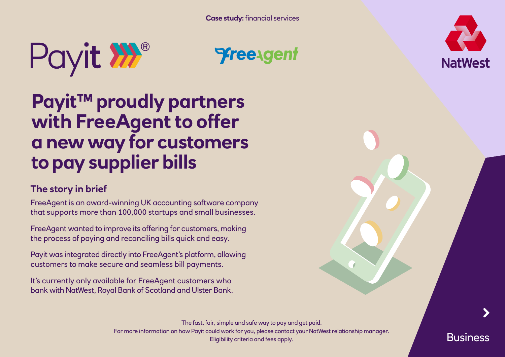



# **Payit™ proudly partners with FreeAgent to offer a new way for customers to pay supplier bills**

## **The story in brief**

FreeAgent is an award-winning UK accounting software company that supports more than 100,000 startups and small businesses.

FreeAgent wanted to improve its offering for customers, making the process of paying and reconciling bills quick and easy.

Payit was integrated directly into FreeAgent's platform, allowing customers to make secure and seamless bill payments.

It's currently only available for FreeAgent customers who bank with NatWest, Royal Bank of Scotland and Ulster Bank.

> The fast, fair, simple and safe way to pay and get paid. For more information on how Payit could work for you, please contact your NatWest relationship manager. Eligibility criteria and fees apply.



**Business**